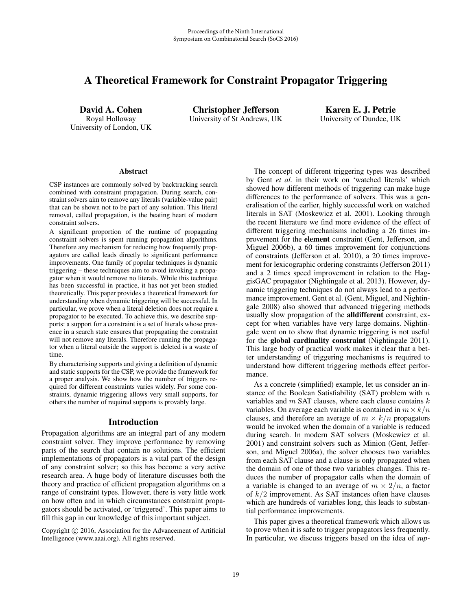# A Theoretical Framework for Constraint Propagator Triggering

David A. Cohen Royal Holloway University of London, UK

Christopher Jefferson University of St Andrews, UK

Karen E. J. Petrie University of Dundee, UK

#### Abstract

CSP instances are commonly solved by backtracking search combined with constraint propagation. During search, constraint solvers aim to remove any literals (variable-value pair) that can be shown not to be part of any solution. This literal removal, called propagation, is the beating heart of modern constraint solvers.

A significant proportion of the runtime of propagating constraint solvers is spent running propagation algorithms. Therefore any mechanism for reducing how frequently propagators are called leads directly to significant performance improvements. One family of popular techniques is dynamic triggering – these techniques aim to avoid invoking a propagator when it would remove no literals. While this technique has been successful in practice, it has not yet been studied theoretically. This paper provides a theoretical framework for understanding when dynamic triggering will be successful. In particular, we prove when a literal deletion does not require a propagator to be executed. To achieve this, we describe supports: a support for a constraint is a set of literals whose presence in a search state ensures that propagating the constraint will not remove any literals. Therefore running the propagator when a literal outside the support is deleted is a waste of time.

By characterising supports and giving a definition of dynamic and static supports for the CSP, we provide the framework for a proper analysis. We show how the number of triggers required for different constraints varies widely. For some constraints, dynamic triggering allows very small supports, for others the number of required supports is provably large.

## Introduction

Propagation algorithms are an integral part of any modern constraint solver. They improve performance by removing parts of the search that contain no solutions. The efficient implementations of propagators is a vital part of the design of any constraint solver; so this has become a very active research area. A huge body of literature discusses both the theory and practice of efficient propagation algorithms on a range of constraint types. However, there is very little work on how often and in which circumstances constraint propagators should be activated, or 'triggered'. This paper aims to fill this gap in our knowledge of this important subject.

The concept of different triggering types was described by Gent *et al.* in their work on 'watched literals' which showed how different methods of triggering can make huge differences to the performance of solvers. This was a generalisation of the earlier, highly successful work on watched literals in SAT (Moskewicz et al. 2001). Looking through the recent literature we find more evidence of the effect of different triggering mechanisms including a 26 times improvement for the element constraint (Gent, Jefferson, and Miguel 2006b), a 60 times improvement for conjunctions of constraints (Jefferson et al. 2010), a 20 times improvement for lexicographic ordering constraints (Jefferson 2011) and a 2 times speed improvement in relation to the HaggisGAC propagator (Nightingale et al. 2013). However, dynamic triggering techniques do not always lead to a performance improvement. Gent et al. (Gent, Miguel, and Nightingale 2008) also showed that advanced triggering methods usually slow propagation of the alldifferent constraint, except for when variables have very large domains. Nightingale went on to show that dynamic triggering is not useful for the global cardinality constraint (Nightingale 2011). This large body of practical work makes it clear that a better understanding of triggering mechanisms is required to understand how different triggering methods effect performance.

As a concrete (simplified) example, let us consider an instance of the Boolean Satisfiability (SAT) problem with  $n$ variables and  $m$  SAT clauses, where each clause contains  $k$ variables. On average each variable is contained in  $m \times k/n$ clauses, and therefore an average of  $m \times k/n$  propagators would be invoked when the domain of a variable is reduced during search. In modern SAT solvers (Moskewicz et al. 2001) and constraint solvers such as Minion (Gent, Jefferson, and Miguel 2006a), the solver chooses two variables from each SAT clause and a clause is only propagated when the domain of one of those two variables changes. This reduces the number of propagator calls when the domain of a variable is changed to an average of  $m \times 2/n$ , a factor of  $k/2$  improvement. As SAT instances often have clauses which are hundreds of variables long, this leads to substantial performance improvements.

This paper gives a theoretical framework which allows us to prove when it is safe to trigger propagators less frequently. In particular, we discuss triggers based on the idea of *sup-*

Copyright  $\odot$  2016, Association for the Advancement of Artificial Intelligence (www.aaai.org). All rights reserved.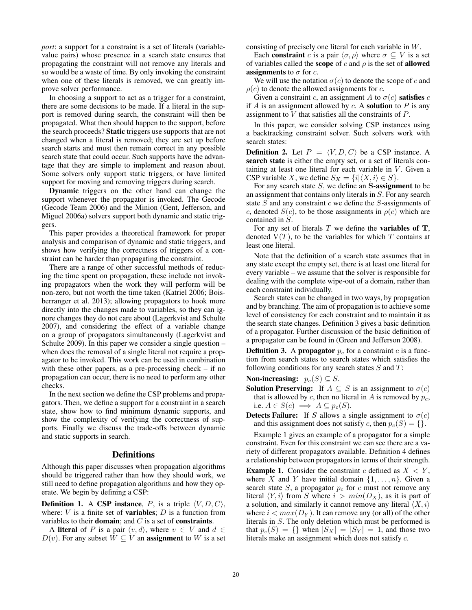*port*: a support for a constraint is a set of literals (variablevalue pairs) whose presence in a search state ensures that propagating the constraint will not remove any literals and so would be a waste of time. By only invoking the constraint when one of these literals is removed, we can greatly improve solver performance.

In choosing a support to act as a trigger for a constraint, there are some decisions to be made. If a literal in the support is removed during search, the constraint will then be propagated. What then should happen to the support, before the search proceeds? Static triggers use supports that are not changed when a literal is removed; they are set up before search starts and must then remain correct in any possible search state that could occur. Such supports have the advantage that they are simple to implement and reason about. Some solvers only support static triggers, or have limited support for moving and removing triggers during search.

Dynamic triggers on the other hand can change the support whenever the propagator is invoked. The Gecode (Gecode Team 2006) and the Minion (Gent, Jefferson, and Miguel 2006a) solvers support both dynamic and static triggers.

This paper provides a theoretical framework for proper analysis and comparison of dynamic and static triggers, and shows how verifying the correctness of triggers of a constraint can be harder than propagating the constraint.

There are a range of other successful methods of reducing the time spent on propagation, these include not invoking propagators when the work they will perform will be non-zero, but not worth the time taken (Katriel 2006; Boisberranger et al. 2013); allowing propagators to hook more directly into the changes made to variables, so they can ignore changes they do not care about (Lagerkvist and Schulte 2007), and considering the effect of a variable change on a group of propagators simultaneously (Lagerkvist and Schulte 2009). In this paper we consider a single question – when does the removal of a single literal not require a propagator to be invoked. This work can be used in combination with these other papers, as a pre-processing check – if no propagation can occur, there is no need to perform any other checks.

In the next section we define the CSP problems and propagators. Then, we define a support for a constraint in a search state, show how to find minimum dynamic supports, and show the complexity of verifying the correctness of supports. Finally we discuss the trade-offs between dynamic and static supports in search.

#### **Definitions**

Although this paper discusses when propagation algorithms should be triggered rather than how they should work, we still need to define propagation algorithms and how they operate. We begin by defining a CSP:

**Definition 1.** A CSP instance, P, is a triple  $\langle V, D, C \rangle$ , where:  $V$  is a finite set of **variables**;  $D$  is a function from variables to their **domain**; and  $C$  is a set of **constraints**.

A literal of P is a pair  $\langle v, d \rangle$ , where  $v \in V$  and  $d \in$  $D(v)$ . For any subset  $\overline{W} \subseteq V$  an **assignment** to W is a set consisting of precisely one literal for each variable in W.

Each constraint c is a pair  $\langle \sigma, \rho \rangle$  where  $\sigma \subseteq V$  is a set of variables called the **scope** of c and  $\rho$  is the set of **allowed assignments** to  $\sigma$  for c.

We will use the notation  $\sigma(c)$  to denote the scope of c and  $\rho(c)$  to denote the allowed assignments for c.

Given a constraint c, an assignment A to  $\sigma(c)$  satisfies c if  $A$  is an assignment allowed by  $c$ . A **solution** to  $P$  is any assignment to  $\bar{V}$  that satisfies all the constraints of  $\bar{P}$ .

In this paper, we consider solving CSP instances using a backtracking constraint solver. Such solvers work with search states:

**Definition 2.** Let  $P = \langle V, D, C \rangle$  be a CSP instance. A search state is either the empty set, or a set of literals containing at least one literal for each variable in  $V$ . Given a CSP variable X, we define  $S_X = \{i | \langle X, i \rangle \in S\}.$ 

For any search state S, we define an **S**-assignment to be an assignment that contains only literals in S. For any search state  $S$  and any constraint  $c$  we define the  $S$ -assignments of c, denoted  $S(c)$ , to be those assignments in  $\rho(c)$  which are contained in S.

For any set of literals T we define the variables of **T**, denoted  $V(T)$ , to be the variables for which T contains at least one literal.

Note that the definition of a search state assumes that in any state except the empty set, there is at least one literal for every variable – we assume that the solver is responsible for dealing with the complete wipe-out of a domain, rather than each constraint individually.

Search states can be changed in two ways, by propagation and by branching. The aim of propagation is to achieve some level of consistency for each constraint and to maintain it as the search state changes. Definition 3 gives a basic definition of a propagator. Further discussion of the basic definition of a propagator can be found in (Green and Jefferson 2008).

**Definition 3.** A propagator  $p_c$  for a constraint c is a function from search states to search states which satisfies the following conditions for any search states  $S$  and  $T$ :

Non-increasing:  $p_c(S) \subseteq S$ .

- **Solution Preserving:** If  $A \subseteq S$  is an assignment to  $\sigma(c)$ that is allowed by c, then no literal in A is removed by  $p_c$ , i.e.  $A \in S(c) \implies A \subseteq p_c(S)$ .
- Detects Failure: If S allows a single assignment to  $\sigma(c)$ and this assignment does not satisfy c, then  $p_c(S) = \{\}.$

Example 1 gives an example of a propagator for a simple constraint. Even for this constraint we can see there are a variety of different propagators available. Definition 4 defines a relationship between propagators in terms of their strength.

**Example 1.** Consider the constraint c defined as  $X \leq Y$ , where X and Y have initial domain  $\{1,\ldots,n\}$ . Given a search state S, a propagator  $p_c$  for c must not remove any literal  $\langle Y, i \rangle$  from S where  $i > min(D_X)$ , as it is part of a solution, and similarly it cannot remove any literal  $\langle X, i \rangle$ where  $i < max(D<sub>Y</sub>)$ . It can remove any (or all) of the other literals in S. The only deletion which must be performed is that  $p_c(S) = \{\}$  when  $|S_X| = |S_Y| = 1$ , and those two literals make an assignment which does not satisfy c.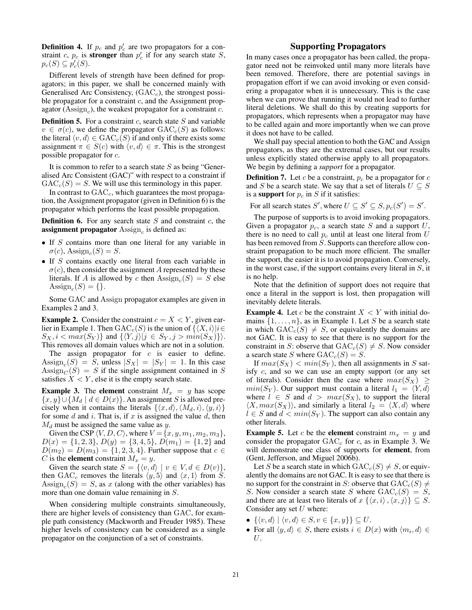**Definition 4.** If  $p_c$  and  $p'_c$  are two propagators for a constraint c,  $p_c$  is **stronger** than  $p_c$  if for any search state S,  $p_c(S) \subseteq p_c(S)$ .

Different levels of strength have been defined for propagators; in this paper, we shall be concerned mainly with Generalised Arc Consistency,  $(GAC<sub>c</sub>)$ , the strongest possible propagator for a constraint  $c$ , and the Assignment propagator (Assign<sub>c</sub>), the weakest propagator for a constraint  $c$ .

**Definition 5.** For a constraint  $c$ , search state  $S$  and variable  $v \in \sigma(c)$ , we define the propagator  $GAC_c(S)$  as follows: the literal  $\langle v, d \rangle \in \text{GAC}_c(S)$  if and only if there exists some assignment  $\pi \in S(c)$  with  $\langle v, d \rangle \in \pi$ . This is the strongest possible propagator for c.

It is common to refer to a search state  $S$  as being "Generalised Arc Consistent (GAC)" with respect to a constraint if  $GAC<sub>c</sub>(S) = S$ . We will use this terminology in this paper.

In contrast to  $GAC<sub>c</sub>$ , which guarantees the most propagation, the Assignment propagator (given in Definition 6) is the propagator which performs the least possible propagation.

**Definition 6.** For any search state  $S$  and constraint  $c$ , the assignment propagator  $\mathrm{Assign}_c$  is defined as:

- If S contains more than one literal for any variable in  $\sigma(c)$ , Assign<sub>c</sub> $(S) = S$ .
- If S contains exactly one literal from each variable in  $\sigma(c)$ , then consider the assignment A represented by these literals. If A is allowed by c then  $\text{Assign}_{c}(S) = S$  else Assign<sub>c</sub> $(S) = \{\}.$

Some GAC and Assign propagator examples are given in Examples 2 and 3.

**Example 2.** Consider the constraint  $c = X \lt Y$ , given earlier in Example 1. Then  $GAC_c(S)$  is the union of  $\{ (X, i) | i \in G \}$  $S_X, i < max(S_Y)$ } and  $\{ \langle Y, j \rangle | j \in S_Y, j > min(S_X) \}$ . This removes all domain values which are not in a solution.

The assign propagator for  $c$  is easier to define. Assign<sub>c</sub>(S) = S, unless  $|S_X| = |S_Y| = 1$ . In this case Assign<sub>C</sub> $(S) = S$  if the single assignment contained in S satisfies  $X \leq Y$ , else it is the empty search state.

**Example 3.** The element constraint  $M_x = y$  has scope  ${x, y}$ ∪{ $M_d | d \in D(x)$ }. An assignment S is allowed precisely when it contains the literals  $\{\langle x, d \rangle, \langle M_d, i \rangle, \langle y, i \rangle\}$ for some  $d$  and  $i$ . That is, if  $x$  is assigned the value  $d$ , then  $M_d$  must be assigned the same value as y.

Given the CSP  $\langle V, D, C \rangle$ , where  $V = \{x, y, m_1, m_2, m_3\},\$  $D(x) = \{1, 2, 3\}, D(y) = \{3, 4, 5\}, D(m_1) = \{1, 2\}$  and  $D(m_2) = D(m_3) = \{1, 2, 3, 4\}$ . Further suppose that  $c \in$ C is the **element** constraint  $M_x = y$ .

Given the search state  $S = \{ \langle v, d \rangle \mid v \in V, d \in D(v) \},\$ then GAC<sub>c</sub> removes the literals  $\langle y, 5 \rangle$  and  $\langle x, 1 \rangle$  from S. Assign<sub>c</sub> $(S) = S$ , as x (along with the other variables) has more than one domain value remaining in S.

When considering multiple constraints simultaneously, there are higher levels of consistency than GAC, for example path consistency (Mackworth and Freuder 1985). These higher levels of consistency can be considered as a single propagator on the conjunction of a set of constraints.

## Supporting Propagators

In many cases once a propagator has been called, the propagator need not be reinvoked until many more literals have been removed. Therefore, there are potential savings in propagation effort if we can avoid invoking or even considering a propagator when it is unnecessary. This is the case when we can prove that running it would not lead to further literal deletions. We shall do this by creating supports for propagators, which represents when a propagator may have to be called again and more importantly when we can prove it does not have to be called.

We shall pay special attention to both the GAC and Assign propagators, as they are the extremal cases, but our results unless explicitly stated otherwise apply to all propagators. We begin by defining a *support* for a propagator.

**Definition 7.** Let c be a constraint,  $p_c$  be a propagator for c and S be a search state. We say that a set of literals  $U \subseteq S$ is a support for  $p_c$  in S if it satisfies:

For all search states S', where  $U \subseteq S' \subseteq S$ ,  $p_c(S') = S'$ .

The purpose of supports is to avoid invoking propagators. Given a propagator  $p_c$ , a search state S and a support  $U$ , there is no need to call  $p_c$  until at least one literal from U has been removed from S. Supports can therefore allow constraint propagation to be much more efficient. The smaller the support, the easier it is to avoid propagation. Conversely, in the worst case, if the support contains every literal in  $S$ , it is no help.

Note that the definition of support does not require that once a literal in the support is lost, then propagation will inevitably delete literals.

**Example 4.** Let c be the constraint  $X \leq Y$  with initial domains  $\{1,\ldots,n\}$ , as in Example 1. Let S be a search state in which  $GAC_c(S) \neq S$ , or equivalently the domains are not GAC. It is easy to see that there is no support for the constraint in S: observe that  $GAC_c(S) \neq S$ . Now consider a search state S where  $GAC_c(S) = S$ .

If  $max(S_X) < min(S_Y)$ , then all assignments in S satisfy c, and so we can use an empty support (or any set of literals). Consider then the case where  $max(S_X) \geq$  $min(S_Y)$ . Our support must contain a literal  $l_1 = \langle Y, d \rangle$ where  $l \in S$  and  $d > max(S_X)$ , to support the literal  $\langle X, max(S_X) \rangle$ , and similarly a literal  $l_2 = \langle X, d \rangle$  where  $l \in S$  and  $d < min(S_Y)$ . The support can also contain any other literals.

**Example 5.** Let c be the **element** constraint  $m_x = y$  and consider the propagator  $GAC<sub>c</sub>$  for c, as in Example 3. We will demonstrate one class of supports for element, from (Gent, Jefferson, and Miguel 2006b).

Let S be a search state in which  $GAC_c(S) \neq S$ , or equivalently the domains are not GAC. It is easy to see that there is no support for the constraint in S: observe that  $GAC<sub>c</sub>(S) \neq$ S. Now consider a search state S where  $GAC_c(S) = S$ , and there are at least two literals of  $x \{ \langle x, i \rangle, \langle x, j \rangle \} \subseteq S$ . Consider any set  $U$  where:

- $\{\langle v, d \rangle \mid \langle v, d \rangle \in S, v \in \{x, y\}\} \subseteq U$ .
- For all  $\langle y, d \rangle \in S$ , there exists  $i \in D(x)$  with  $\langle m_i, d \rangle \in$ U.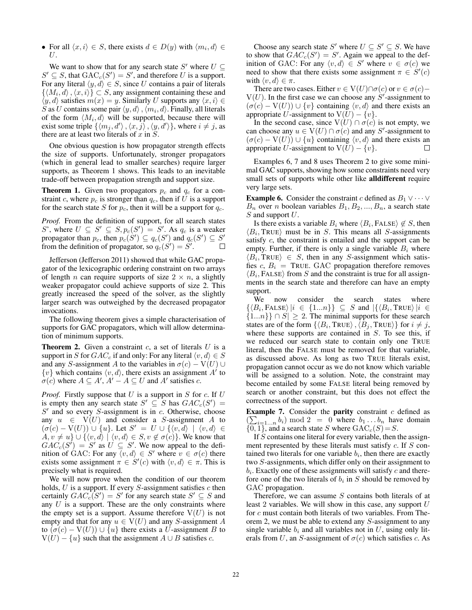• For all  $\langle x, i \rangle \in S$ , there exists  $d \in D(y)$  with  $\langle m_i, d \rangle \in$ U.

We want to show that for any search state S' where  $U \subseteq$  $S' \subseteq S$ , that  $GAC_c(S') = S'$ , and therefore U is a support. For any literal  $\langle y, d \rangle \in S$ , since U contains a pair of literals  $\{(M_i, d), (x, i)\}\subset S$ , any assignment containing these and  $\langle y, d \rangle$  satisfies  $m(x) = y$ . Similarly U supports any  $\langle x, i \rangle \in$  $\widetilde{S}$  as  $U$  contains some pair  $\langle y, d \rangle$ ,  $\langle m_i, d \rangle$ . Finally, all literals of the form  $\langle M_i, d \rangle$  will be supported, because there will exist some triple  $\{ \langle m_j, d' \rangle, \langle x, \overline{j} \rangle, \langle y, d' \rangle \}$ , where  $i \neq j$ , as there are at least two literals of  $x$  in  $S$ .

One obvious question is how propagator strength effects the size of supports. Unfortunately, stronger propagators (which in general lead to smaller searches) require larger supports, as Theorem 1 shows. This leads to an inevitable trade-off between propagation strength and support size.

**Theorem 1.** Given two propagators  $p_c$  and  $q_c$  for a constraint c, where  $p_c$  is stronger than  $q_c$ , then if U is a support for the search state S for  $p_c$ , then it will be a support for  $q_c$ .

*Proof.* From the definition of support, for all search states S', where  $U \subseteq S' \subseteq S$ ,  $p_c(S') = S'$ . As  $q_c$  is a weaker propagator than  $p_c$ , then  $p_c(S') \subseteq q_c(S')$  and  $q_c(S') \subseteq S'$ from the definition of propagator, so  $q_c(S') = S'$ .

Jefferson (Jefferson 2011) showed that while GAC propagator of the lexicographic ordering constraint on two arrays of length *n* can require supports of size  $2 \times n$ , a slightly weaker propagator could achieve supports of size 2. This greatly increased the speed of the solver, as the slightly larger search was outweighed by the decreased propagator invocations.

The following theorem gives a simple characterisation of supports for GAC propagators, which will allow determination of minimum supports.

**Theorem 2.** Given a constraint  $c$ , a set of literals  $U$  is a support in S for  $GAC_c$  if and only: For any literal  $\langle v, d \rangle \in S$ and any S-assignment A to the variables in  $\sigma(c)$  – V(U) ∪  $\{v\}$  which contains  $\langle v, d \rangle$ , there exists an assignment  $A'$  to  $\sigma(c)$  where  $A \subseteq A', A' - A \subseteq U$  and A' satisfies c.

*Proof.* Firstly suppose that  $U$  is a support in  $S$  for  $c$ . If  $U$ is empty then any search state  $S' \subseteq S$  has  $GAC_c(S') =$  $S'$  and so every  $S$ -assignment is in  $c$ . Otherwise, choose any  $u \in V(U)$  and consider a S-assignment A to  $(\sigma(c) - V(U)) \cup \{u\}$ . Let  $S' = U \cup \{\langle v, d \rangle \mid \langle v, d \rangle \in$  $A, v \neq u$   $\cup$   $\{(v, d) \mid \langle v, d \rangle \in S, v \notin \sigma(c)\}$ . We know that  $GAC_c(S') = S'$  as  $U \subseteq S'$ . We now appeal to the definition of GAC: For any  $\langle v, d \rangle \in S'$  where  $v \in \sigma(c)$  there exists some assignment  $\pi \in S'(c)$  with  $\langle v, d \rangle \in \pi$ . This is precisely what is required.

We will now prove when the condition of our theorem holds,  $U$  is a support. If every  $S$ -assignment satisfies  $c$  then certainly  $GAC_c(S') = S'$  for any search state  $S' \subseteq S$  and any  $U$  is a support. These are the only constraints where the empty set is a support. Assume therefore  $V(U)$  is not empty and that for any  $u \in V(U)$  and any S-assignment A to  $(\sigma(c) - V(U)) \cup \{u\}$  there exists a U-assignment B to  $V(U) - \{u\}$  such that the assignment  $A \cup B$  satisfies c.

Choose any search state S' where  $U \subseteq S' \subseteq S$ . We have to show that  $GAC_c(S') = S'$ . Again we appeal to the definition of GAC: For any  $\langle v, d \rangle \in S'$  where  $v \in \sigma(c)$  we need to show that there exists some assignment  $\pi \in S'(c)$ with  $\langle v, d \rangle \in \pi$ .

There are two cases. Either  $v \in V(U) \cap \sigma(c)$  or  $v \in \sigma(c)$  –  $V(U)$ . In the first case we can choose any  $S'$ -assignment to  $(\sigma(c) - V(U)) \cup \{v\}$  containing  $\langle v, d \rangle$  and there exists an appropriate U-assignment to  $V(U) - \{v\}.$ 

In the second case, since  $V(U) \cap \sigma(c)$  is not empty, we can choose any  $u \in V(U) \cap \sigma(c)$  and any S'-assignment to  $(\sigma(c) - V(U)) \cup \{u\}$  containing  $\langle v, d \rangle$  and there exists an appropriate U-assignment to  $V(U) - \{v\}.$ 

Examples 6, 7 and 8 uses Theorem 2 to give some minimal GAC supports, showing how some constraints need very small sets of supports while other like alldifferent require very large sets.

**Example 6.** Consider the constraint c defined as  $B_1 \vee \cdots \vee$  $B_n$  over n boolean variables  $B_1, B_2, ..., B_n$ , a search state S and support U.

Is there exists a variable  $B_i$  where  $\langle B_i, \text{FALSE} \rangle \notin S$ , then  $\langle B_i, \text{TRUE} \rangle$  must be in S. This means all S-assignments satisfy c, the constraint is entailed and the support can be empty. Further, if there is only a single variable  $B_i$  where  $\langle B_i, \text{TRUE} \rangle \in S$ , then in any S-assignment which satisfies  $c, B_i$  = TRUE. GAC propagation therefore removes  $\langle B_i, \text{FALSE} \rangle$  from S and the constraint is true for all assignments in the search state and therefore can have an empty support.

We now consider the search states where  $\{\langle B_i, \text{FALSE} \rangle | i \in \{1...n\}\}\subseteq S$  and  $|\{\langle B_i, \text{TRUE} \rangle | i \in \{1...n\}\}\subseteq S$  $\{1...n\} \cap S$  ≥ 2. The minimal supports for these search states are of the form  $\{ \langle B_i, \text{TRUE} \rangle, \langle B_j, \text{TRUE} \rangle \}$  for  $i \neq j$ , where these supports are contained in S. To see this, if we reduced our search state to contain only one TRUE literal, then the FALSE must be removed for that variable, as discussed above. As long as two TRUE literals exist, propagation cannot occur as we do not know which variable will be assigned to a solution. Note, the constraint may become entailed by some FALSE literal being removed by search or another constraint, but this does not effect the correctness of the support.

**Example 7.** Consider the **parity** constraint  $c$  defined as  $(\sum_{i=1...n} b_i) \mod 2 = 0$  where  $b_1...b_n$  have domain  ${0, 1}$ , and a search state S where  $GAC_c(S) = S$ .

If S contains one literal for every variable, then the assignment represented by these literals must satisfy  $c$ . If  $S$  contained two literals for one variable  $b_i$ , then there are exactly two S-assignments, which differ only on their assignment to  $b_i$ . Exactly one of these assignments will satisfy c and therefore one of the two literals of  $b_i$  in S should be removed by GAC propagation.

Therefore, we can assume  $S$  contains both literals of at least 2 variables. We will show in this case, any support  $U$ for  $c$  must contain both literals of two variables. From Theorem 2, we must be able to extend any S-assignment to any single variable  $b_i$  and all variables not in U, using only literals from U, an S-assignment of  $\sigma(c)$  which satisfies c. As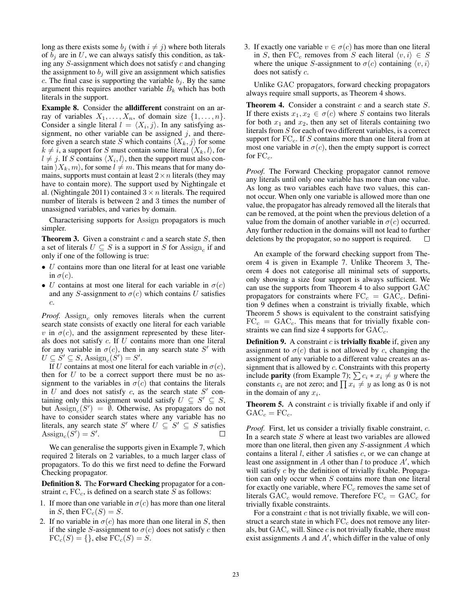long as there exists some  $b_i$  (with  $i \neq j$ ) where both literals of  $b_i$  are in U, we can always satisfy this condition, as taking any  $S$ -assignment which does not satisfy  $c$  and changing the assignment to  $b_j$  will give an assignment which satisfies c. The final case is supporting the variable  $b_i$ . By the same argument this requires another variable  $B_k$  which has both literals in the support.

Example 8. Consider the alldifferent constraint on an array of variables  $X_1, \ldots, X_n$ , of domain size  $\{1, \ldots, n\}$ . Consider a single literal  $l = \langle X_i, j \rangle$ . In any satisfying assignment, no other variable can be assigned  $j$ , and therefore given a search state S which contains  $\langle X_k, j \rangle$  for some  $k \neq i$ , a support for S must contain some literal  $\langle X_k, l \rangle$ , for  $l \neq j$ . If S contains  $\langle X_i, l \rangle$ , then the support must also contain  $\langle X_k, m \rangle$ , for some  $l \neq m$ . This means that for many domains, supports must contain at least  $2 \times n$  literals (they may have to contain more). The support used by Nightingale et al. (Nightingale 2011) contained  $3 \times n$  literals. The required number of literals is between 2 and 3 times the number of unassigned variables, and varies by domain.

Characterising supports for Assign propagators is much simpler.

**Theorem 3.** Given a constraint  $c$  and a search state  $S$ , then a set of literals  $U \subseteq S$  is a support in S for Assign, if and only if one of the following is true:

- $\bullet$  U contains more than one literal for at least one variable in  $\sigma(c)$ .
- U contains at most one literal for each variable in  $\sigma(c)$ and any S-assignment to  $\sigma(c)$  which contains U satisfies c.

*Proof.* Assign<sub>c</sub> only removes literals when the current search state consists of exactly one literal for each variable v in  $\sigma(c)$ , and the assignment represented by these literals does not satisfy c. If U contains more than one literal for any variable in  $\sigma(c)$ , then in any search state S' with  $U \subseteq S' \subseteq S$ ,  $\text{Assign}_c(S') = S'.$ 

If U contains at most one literal for each variable in  $\sigma(c)$ , then for  $U$  to be a correct support there must be no assignment to the variables in  $\sigma(c)$  that contains the literals in U and does not satisfy c, as the search state  $S'$  containing only this assignment would satisfy  $U \subseteq S' \subseteq S$ , but  $\text{Assign}_c(S') = \emptyset$ . Otherwise, As propagators do not have to consider search states where any variable has no literals, any search state S' where  $U \subseteq S' \subseteq S$  satisfies Assign<sub>c</sub> $(S') = S'.$ 

We can generalise the supports given in Example 7, which required 2 literals on 2 variables, to a much larger class of propagators. To do this we first need to define the Forward Checking propagator.

Definition 8. The Forward Checking propagator for a constraint  $c$ ,  $FC_c$ , is defined on a search state S as follows:

- 1. If more than one variable in  $\sigma(c)$  has more than one literal in S, then  $FC_c(S) = S$ .
- 2. If no variable in  $\sigma(c)$  has more than one literal in S, then if the single S-assignment to  $\sigma(c)$  does not satisfy c then  $FC_c(S) = \{\},$  else  $FC_c(S) = S$ .

3. If exactly one variable  $v \in \sigma(c)$  has more than one literal in S, then FC<sub>c</sub> removes from S each literal  $\langle v, i \rangle \in S$ where the unique *S*-assignment to  $\sigma(c)$  containing  $\langle v, i \rangle$ does not satisfy c.

Unlike GAC propagators, forward checking propagators always require small supports, as Theorem 4 shows.

**Theorem 4.** Consider a constraint  $c$  and a search state  $S$ . If there exists  $x_1, x_2 \in \sigma(c)$  where S contains two literals for both  $x_1$  and  $x_2$ , then any set of literals containing two literals from S for each of two different variables, is a correct support for  $FC_c$ . If S contains more than one literal from at most one variable in  $\sigma(c)$ , then the empty support is correct for  $FC_c$ .

*Proof.* The Forward Checking propagator cannot remove any literals until only one variable has more than one value. As long as two variables each have two values, this cannot occur. When only one variable is allowed more than one value, the propagator has already removed all the literals that can be removed, at the point when the previous deletion of a value from the domain of another variable in  $\sigma(c)$  occurred. Any further reduction in the domains will not lead to further deletions by the propagator, so no support is required.

An example of the forward checking support from Theorem 4 is given in Example 7. Unlike Theorem 3, Theorem 4 does not categorise all minimal sets of supports, only showing a size four support is always sufficient. We can use the supports from Theorem 4 to also support GAC propagators for constraints where  $FC_c = GAC_c$ . Definition 9 defines when a constraint is trivially fixable, which Theorem 5 shows is equivalent to the constraint satisfying  $FC_c = GAC_c$ . This means that for trivially fixable constraints we can find size 4 supports for  $GAC<sub>c</sub>$ .

**Definition 9.** A constraint  $c$  is **trivially fixable** if, given any assignment to  $\sigma(c)$  that is not allowed by c, changing the assignment of any variable to a different value creates an assignment that is allowed by  $c$ . Constraints with this property include **parity** (from Example 7);  $\sum c_i * x_i \neq y$  where the constants  $c_i$  are not zero; and  $\prod x_i \neq y$  as long as 0 is not in the domain of any  $x_i$ .

**Theorem 5.** A constraint  $c$  is trivially fixable if and only if  $GAC_c = FC_c.$ 

*Proof.* First, let us consider a trivially fixable constraint, c. In a search state  $S$  where at least two variables are allowed more than one literal, then given any S-assignment A which contains a literal  $l$ , either  $A$  satisfies  $c$ , or we can change at least one assignment in A other than  $l$  to produce  $A'$ , which will satisfy  $c$  by the definition of trivially fixable. Propagation can only occur when  $S$  contains more than one literal for exactly one variable, where  $FC<sub>c</sub>$  removes the same set of literals  $GAC_c$  would remove. Therefore  $FC_c = GAC_c$  for trivially fixable constraints.

For a constraint  $c$  that is not trivially fixable, we will construct a search state in which  $FC<sub>c</sub>$  does not remove any literals, but  $GAC<sub>c</sub>$  will. Since c is not trivially fixable, there must exist assignments  $A$  and  $A'$ , which differ in the value of only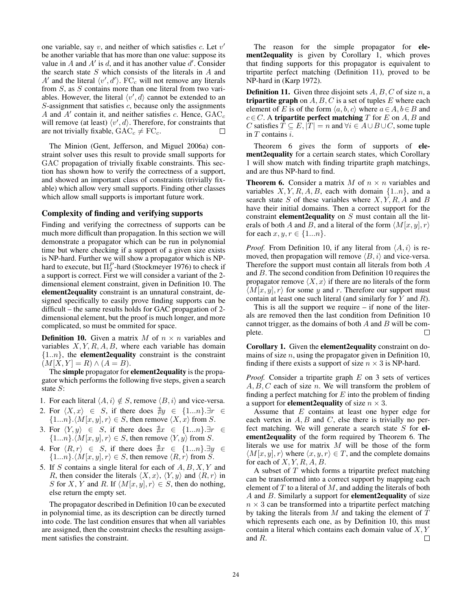one variable, say  $v$ , and neither of which satisfies  $c$ . Let  $v'$ be another variable that has more than one value: suppose its value in A and A' is d, and it has another value  $d'$ . Consider the search state  $S$  which consists of the literals in  $A$  and A' and the literal  $\langle v', d' \rangle$ . FC<sub>c</sub> will not remove any literals from  $S$ , as  $S$  contains more than one literal from two variables. However, the literal  $\langle v', d \rangle$  cannot be extended to an  $S$ -assignment that satisfies  $c$ , because only the assignments A and  $A'$  contain it, and neither satisfies c. Hence,  $GAC_c$ will remove (at least)  $\langle v', d \rangle$ . Therefore, for constraints that are not trivially fixable,  $GAC_c \neq FC_c$ .

The Minion (Gent, Jefferson, and Miguel 2006a) constraint solver uses this result to provide small supports for GAC propagation of trivially fixable constraints. This section has shown how to verify the correctness of a support, and showed an important class of constraints (trivially fixable) which allow very small supports. Finding other classes which allow small supports is important future work.

#### Complexity of finding and verifying supports

Finding and verifying the correctness of supports can be much more difficult than propagation. In this section we will demonstrate a propagator which can be run in polynomial time but where checking if a support of a given size exists is NP-hard. Further we will show a propagator which is NPhard to execute, but  $\Pi_2^P$ -hard (Stockmeyer 1976) to check if a support is correct. First we will consider a variant of the 2 dimensional element constraint, given in Definition 10. The element2equality constraint is an unnatural constraint, designed specifically to easily prove finding supports can be difficult – the same results holds for GAC propagation of 2 dimensional element, but the proof is much longer, and more complicated, so must be ommited for space.

**Definition 10.** Given a matrix M of  $n \times n$  variables and variables  $X, Y, R, A, B$ , where each variable has domain  ${1..n}$ , the **element2equality** constraint is the constraint  $(M[X, Y] = R) \wedge (A = B).$ 

The simple propagator for element2equality is the propagator which performs the following five steps, given a search state S:

- 1. For each literal  $\langle A, i \rangle \notin S$ , remove  $\langle B, i \rangle$  and vice-versa.
- 2. For  $\langle X, x \rangle \in S$ , if there does  $\exists y \in \{1...n\}$ .  $\exists r \in \{1,...,n\}$  $\{1...n\}.$   $\langle M[x, y], r \rangle \in S$ , then remove  $\langle X, x \rangle$  from S.
- 3. For  $\langle Y, y \rangle \in S$ , if there does  $\exists x \in \{1...n\}$ .  $\exists r \in$  $\{1...n\}.\langle M[x,y], r \rangle \in S$ , then remove  $\langle Y, y \rangle$  from S.
- 4. For  $\langle R, r \rangle \in S$ , if there does  $\exists x \in \{1...n\}$ .  $\exists y \in$  $\{1...n\}.\langle M[x,y], r \rangle \in S$ , then remove  $\langle R, r \rangle$  from  $\tilde{S}$ .
- 5. If S contains a single literal for each of  $A, B, X, Y$  and R, then consider the literals  $\langle X, x \rangle$ ,  $\langle Y, y \rangle$  and  $\langle R, r \rangle$  in S for X, Y and R. If  $\langle M[x, y], r \rangle \in S$ , then do nothing, else return the empty set.

The propagator described in Definition 10 can be executed in polynomial time, as its description can be directly turned into code. The last condition ensures that when all variables are assigned, then the constraint checks the resulting assignment satisfies the constraint.

The reason for the simple propagator for **ele**ment2equality is given by Corollary 1, which proves that finding supports for this propagator is equivalent to tripartite perfect matching (Definition 11), proved to be NP-hard in (Karp 1972).

**Definition 11.** Given three disjoint sets  $A, B, C$  of size  $n$ , a tripartite graph on  $A, B, C$  is a set of tuples  $E$  where each element of E is of the form  $\langle a, b, c \rangle$  where  $a \in A, b \in B$  and  $c \in C$ . A tripartite perfect matching T for E on A, B and C satisfies  $T \subseteq E$ ,  $|T| = n$  and  $\forall i \in A \cup B \cup C$ , some tuple in  $T$  contains  $i$ .

Theorem 6 gives the form of supports of element2equality for a certain search states, which Corollary 1 will show match with finding tripartite graph matchings, and are thus NP-hard to find.

**Theorem 6.** Consider a matrix M of  $n \times n$  variables and variables  $X, Y, R, A, B$ , each with domain  $\{1..n\}$ , and a search state S of these variables where  $X, \overrightarrow{Y}, R, \overrightarrow{A}$  and B have their initial domains. Then a correct support for the constraint **element2equality** on  $S$  must contain all the literals of both A and B, and a literal of the form  $\langle M[x, y], r \rangle$ for each  $x, y, r \in \{1...n\}$ .

*Proof.* From Definition 10, if any literal from  $\langle A, i \rangle$  is removed, then propagation will remove  $\langle B, i \rangle$  and vice-versa. Therefore the support must contain all literals from both A and B. The second condition from Definition 10 requires the propagator remove  $\langle X, x \rangle$  if there are no literals of the form  $\langle M[x, y], r \rangle$  for some y and r. Therefore our support must contain at least one such literal (and similarly for  $Y$  and  $R$ ).

This is all the support we require  $-$  if none of the literals are removed then the last condition from Definition 10 cannot trigger, as the domains of both  $A$  and  $B$  will be com-П plete.

Corollary 1. Given the element2equality constraint on domains of size  $n$ , using the propagator given in Definition 10, finding if there exists a support of size  $n \times 3$  is NP-hard.

*Proof.* Consider a tripartite graph E on 3 sets of vertices  $A, B, C$  each of size n. We will transform the problem of finding a perfect matching for  $E$  into the problem of finding a support for **element2equality** of size  $n \times 3$ .

Assume that  $E$  contains at least one hyper edge for each vertex in  $A, B$  and  $C$ , else there is trivially no perfect matching. We will generate a search state  $S$  for element2equality of the form required by Theorem 6. The literals we use for matrix  $M$  will be those of the form  $\langle M[x, y], r \rangle$  where  $\langle x, y, r \rangle \in T$ , and the complete domains for each of  $X, Y, R, A, B$ .

A subset of  $T$  which forms a tripartite prefect matching can be transformed into a correct support by mapping each element of  $T$  to a literal of  $M$ , and adding the literals of both A and B. Similarly a support for element2equality of size  $n \times 3$  can be transformed into a tripartite perfect matching by taking the literals from  $M$  and taking the element of  $T$ which represents each one, as by Definition 10, this must contain a literal which contains each domain value of X, Y and R. П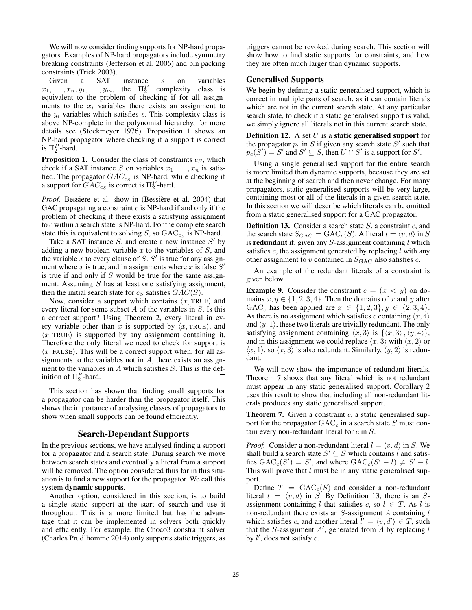We will now consider finding supports for NP-hard propagators. Examples of NP-hard propagators include symmetry breaking constraints (Jefferson et al. 2006) and bin packing constraints (Trick 2003).

Given a SAT instance s on variables  $x_1, \ldots, x_n, y_1, \ldots, y_m$ , the  $\Pi_2^P$  complexity class is equivalent to the problem of checking if for all assignments to the  $x_i$  variables there exists an assignment to the  $y_i$  variables which satisfies s. This complexity class is above NP-complete in the polynomial hierarchy, for more details see (Stockmeyer 1976). Proposition 1 shows an NP-hard propagator where checking if a support is correct is  $\Pi_2^P$ -hard.

**Proposition 1.** Consider the class of constraints  $c_S$ , which check if a SAT instance S on variables  $x_1, \ldots, x_n$  is satisfied. The propagator  $GAC_{cS}$  is NP-hard, while checking if a support for  $GAC_{cS}$  is correct is  $\Pi_2^P$ -hard.

Proof. Bessiere et al. show in (Bessière et al. 2004) that GAC propagating a constraint  $c$  is NP-hard if and only if the problem of checking if there exists a satisfying assignment to  $c$  within a search state is NP-hard. For the complete search state this is equivalent to solving  $S$ , so  $GAC_{cS}$  is NP-hard.

Take a SAT instance  $S$ , and create a new instance  $S'$  by adding a new boolean variable  $x$  to the variables of  $S$ , and the variable x to every clause of S.  $S'$  is true for any assignment where x is true, and in assignments where x is false  $S'$ is true if and only if  $S$  would be true for the same assignment. Assuming  $S$  has at least one satisfying assignment, then the initial search state for  $c_S$  satisfies  $GAC(S)$ .

Now, consider a support which contains  $\langle x, \text{TRUE} \rangle$  and every literal for some subset  $A$  of the variables in  $S$ . Is this a correct support? Using Theorem 2, every literal in every variable other than x is supported by  $\langle x, \text{TRUE} \rangle$ , and  $\langle x, \text{TRUE} \rangle$  is supported by any assignment containing it. Therefore the only literal we need to check for support is  $\langle x,$  FALSE). This will be a correct support when, for all assignments to the variables not in  $A$ , there exists an assignment to the variables in  $A$  which satisfies  $S$ . This is the definition of  $\Pi_2^P$ -hard.  $\Box$ 

This section has shown that finding small supports for a propagator can be harder than the propagator itself. This shows the importance of analysing classes of propagators to show when small supports can be found efficiently.

## Search-Dependant Supports

In the previous sections, we have analysed finding a support for a propagator and a search state. During search we move between search states and eventually a literal from a support will be removed. The option considered thus far in this situation is to find a new support for the propagator. We call this system dynamic supports.

Another option, considered in this section, is to build a single static support at the start of search and use it throughout. This is a more limited but has the advantage that it can be implemented in solvers both quickly and efficiently. For example, the Choco3 constraint solver (Charles Prud'homme 2014) only supports static triggers, as

triggers cannot be revoked during search. This section will show how to find static supports for constraints, and how they are often much larger than dynamic supports.

#### Generalised Supports

We begin by defining a static generalised support, which is correct in multiple parts of search, as it can contain literals which are not in the current search state. At any particular search state, to check if a static generalised support is valid, we simply ignore all literals not in this current search state.

**Definition 12.** A set  $U$  is a **static generalised support** for the propagator  $p_c$  in S if given any search state S' such that  $p_c(S') = S'$  and  $S' \subseteq S$ , then  $U \cap S'$  is a support for  $S'$ .

Using a single generalised support for the entire search is more limited than dynamic supports, because they are set at the beginning of search and then never change. For many propagators, static generalised supports will be very large, containing most or all of the literals in a given search state. In this section we will describe which literals can be omitted from a static generalised support for a GAC propagator.

**Definition 13.** Consider a search state  $S$ , a constraint  $c$ , and the search state  $S_{\text{GAC}} = \text{GAC}_c(S)$ . A literal  $l = \langle v, d \rangle$  in S is redundant if, given any  $S$ -assignment containing  $l$  which satisfies  $c$ , the assignment generated by replacing  $l$  with any other assignment to v contained in  $S_{\text{GAC}}$  also satisfies c.

An example of the redundant literals of a constraint is given below.

**Example 9.** Consider the constraint  $c = (x < y)$  on domains  $x, y \in \{1, 2, 3, 4\}$ . Then the domains of x and y after GAC<sub>c</sub> has been applied are  $x \in \{1,2,3\}, y \in \{2,3,4\}.$ As there is no assignment which satisfies c containing  $\langle x, 4 \rangle$ and  $\langle y, 1 \rangle$ , these two literals are trivially redundant. The only satisfying assignment containing  $\langle x, 3 \rangle$  is  $\{\langle x, 3 \rangle, \langle y, 4 \rangle\},$ and in this assignment we could replace  $\langle x, 3 \rangle$  with  $\langle x, 2 \rangle$  or  $\langle x, 1 \rangle$ , so  $\langle x, 3 \rangle$  is also redundant. Similarly,  $\langle y, 2 \rangle$  is redundant.

We will now show the importance of redundant literals. Theorem 7 shows that any literal which is not redundant must appear in any static generalised support. Corollary 2 uses this result to show that including all non-redundant literals produces any static generalised support.

**Theorem 7.** Given a constraint  $c$ , a static generalised support for the propagator  $GAC<sub>c</sub>$  in a search state S must contain every non-redundant literal for  $c$  in  $S$ .

*Proof.* Consider a non-redundant literal  $l = \langle v, d \rangle$  in S. We shall build a search state  $S' \subseteq S$  which contains l and satisfies  $GAC_c(S') = S'$ , and where  $GAC_c(S'-1) \neq S'-1$ . This will prove that  $l$  must be in any static generalised support.

Define  $T = GAC<sub>c</sub>(S)$  and consider a non-redundant literal  $l = \langle v, d \rangle$  in  $\widetilde{S}$ . By Definition 13, there is an  $S$ assignment containing l that satisfies c, so  $l \in T$ . As l is non-redundant there exists an  $S$ -assignment  $A$  containing  $l$ which satisfies c, and another literal  $l' = \langle v, d' \rangle \in T$ , such that the S-assignment A', generated from  $\overrightarrow{A}$  by replacing l by  $l'$ , does not satisfy  $c$ .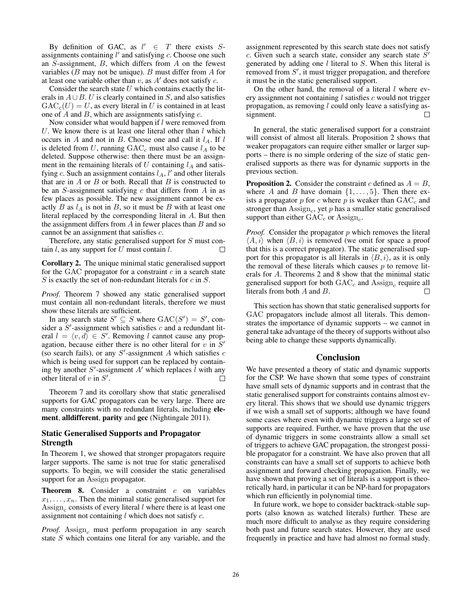By definition of GAC, as  $l' \in T$  there exists Sassignments containing  $l'$  and satisfying  $c$ . Choose one such an  $S$ -assignment,  $B$ , which differs from  $A$  on the fewest variables ( $B$  may not be unique).  $B$  must differ from  $A$  for at least one variable other than  $v$ , as  $A'$  does not satisfy  $c$ .

Consider the search state  $U$  which contains exactly the literals in  $A \cup B$ . U is clearly contained in S, and also satisfies  $GAC<sub>c</sub>(U) = U$ , as every literal in U is contained in at least one of  $A$  and  $B$ , which are assignments satisfying  $c$ .

Now consider what would happen if  $l$  were removed from U. We know there is at least one literal other than  $l$  which occurs in A and not in B. Choose one and call it  $l_A$ . If l is deleted from U, running  $GAC<sub>c</sub>$  must also cause  $l_A$  to be deleted. Suppose otherwise: then there must be an assignment in the remaining literals of  $U$  containing  $l_A$  and satisfying c. Such an assignment contains  $l_A$ , l' and other literals that are in  $A$  or  $B$  or both. Recall that  $B$  is constructed to be an  $S$ -assignment satisfying  $c$  that differs from  $A$  in as few places as possible. The new assignment cannot be exactly  $B$  as  $l_A$  is not in  $B$ , so it must be  $B$  with at least one literal replaced by the corresponding literal in A. But then the assignment differs from  $A$  in fewer places than  $B$  and so cannot be an assignment that satisfies c.

Therefore, any static generalised support for S must contain  $l$ , as any support for  $U$  must contain  $l$ .  $\Box$ 

Corollary 2. The unique minimal static generalised support for the GAC propagator for a constraint  $c$  in a search state  $S$  is exactly the set of non-redundant literals for  $c$  in  $S$ .

*Proof.* Theorem 7 showed any static generalised support must contain all non-redundant literals, therefore we must show these literals are sufficient.

In any search state  $S' \subseteq S$  where  $GAC(S') = S'$ , consider a  $S'$ -assignment which satisfies c and a redundant literal  $l = \langle v, d \rangle \in S'$ . Removing l cannot cause any propagation, because either there is no other literal for  $v \text{ in } S'$ (so search fails), or any  $S'$ -assignment A which satisfies  $c$ which is being used for support can be replaced by containing by another  $S'$ -assignment  $A'$  which replaces  $\hat{l}$  with any other literal of  $v$  in  $S'$ .  $\Box$ 

Theorem 7 and its corollary show that static generalised supports for GAC propagators can be very large. There are many constraints with no redundant literals, including element, alldifferent, parity and gcc (Nightingale 2011).

## Static Generalised Supports and Propagator **Strength**

In Theorem 1, we showed that stronger propagators require larger supports. The same is not true for static generalised supports. To begin, we will consider the static generalised support for an Assign propagator.

**Theorem 8.** Consider a constraint  $c$  on variables  $x_1, \ldots, x_n$ . Then the minimal static generalised support for Assign<sub>c</sub> consists of every literal  $l$  where there is at least one assignment not containing  $l$  which does not satisfy  $c$ .

*Proof.* Assign<sub>c</sub> must perform propagation in any search state S which contains one literal for any variable, and the

assignment represented by this search state does not satisfy c. Given such a search state, consider any search state  $S'$ generated by adding one  $l$  literal to  $S$ . When this literal is removed from  $S'$ , it must trigger propagation, and therefore it must be in the static generalised support.

On the other hand, the removal of a literal  $l$  where every assignment not containing  $l$  satisfies  $c$  would not trigger propagation, as removing  $l$  could only leave a satisfying assignment.  $\Box$ 

In general, the static generalised support for a constraint will consist of almost all literals. Proposition 2 shows that weaker propagators can require either smaller or larger supports – there is no simple ordering of the size of static generalised supports as there was for dynamic supports in the previous section.

**Proposition 2.** Consider the constraint c defined as  $A = B$ , where A and B have domain  $\{1,\ldots,5\}$ . Then there exists a propagator p for c where p is weaker than  $GAC<sub>c</sub>$  and stronger than  $\text{Assign}_c$ , yet p has a smaller static generalised support than either  $GAC<sub>c</sub>$  or Assign<sub>c</sub>.

*Proof.* Consider the propagator  $p$  which removes the literal  $\langle A, i \rangle$  when  $\langle B, i \rangle$  is removed (we omit for space a proof that this is a correct propagator). The static generalised support for this propagator is all literals in  $\langle B, i \rangle$ , as it is only the removal of these literals which causes  $p$  to remove literals for A. Theorems 2 and 8 show that the minimal static generalised support for both  $GAC<sub>c</sub>$  and  $Assign<sub>c</sub>$  require all literals from both A and B.  $\Box$ 

This section has shown that static generalised supports for GAC propagators include almost all literals. This demonstrates the importance of dynamic supports – we cannot in general take advantage of the theory of supports without also being able to change these supports dynamically.

## Conclusion

We have presented a theory of static and dynamic supports for the CSP. We have shown that some types of constraint have small sets of dynamic supports and in contrast that the static generalised support for constraints contains almost every literal. This shows that we should use dynamic triggers if we wish a small set of supports; although we have found some cases where even with dynamic triggers a large set of supports are required. Further, we have proven that the use of dynamic triggers in some constraints allow a small set of triggers to achieve GAC propagation, the strongest possible propagator for a constraint. We have also proven that all constraints can have a small set of supports to achieve both assignment and forward checking propagation. Finally, we have shown that proving a set of literals is a support is theoretically hard, in particular it can be NP-hard for propagators which run efficiently in polynomial time.

In future work, we hope to consider backtrack-stable supports (also known as watched literals) further. These are much more difficult to analyse as they require considering both past and future search states. However, they are used frequently in practice and have had almost no formal study.